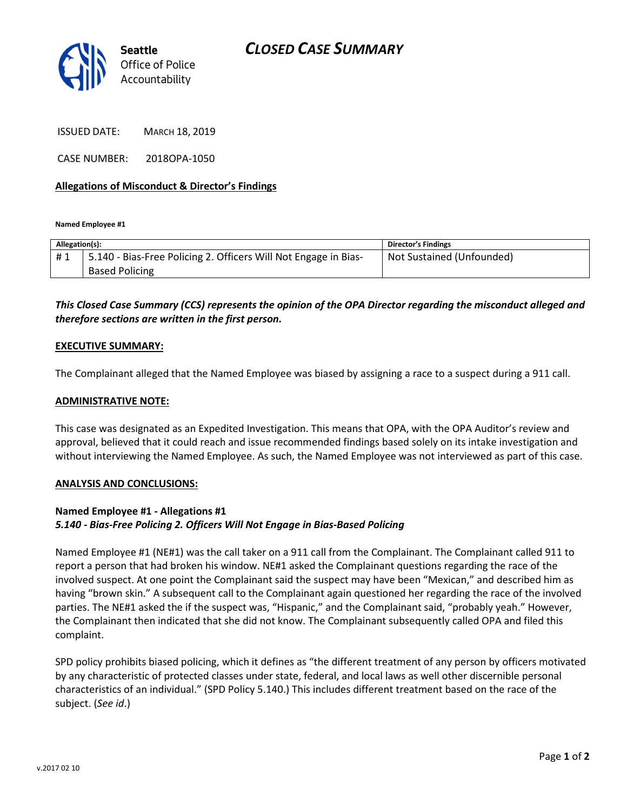

ISSUED DATE: MARCH 18, 2019

CASE NUMBER: 2018OPA-1050

## Allegations of Misconduct & Director's Findings

Named Employee #1

| Allegation(s): |                                                                 | <b>Director's Findings</b> |
|----------------|-----------------------------------------------------------------|----------------------------|
| #1             | 5.140 - Bias-Free Policing 2. Officers Will Not Engage in Bias- | Not Sustained (Unfounded)  |
|                | <b>Based Policing</b>                                           |                            |
|                |                                                                 |                            |

This Closed Case Summary (CCS) represents the opinion of the OPA Director regarding the misconduct alleged and therefore sections are written in the first person.

#### EXECUTIVE SUMMARY:

The Complainant alleged that the Named Employee was biased by assigning a race to a suspect during a 911 call.

#### ADMINISTRATIVE NOTE:

This case was designated as an Expedited Investigation. This means that OPA, with the OPA Auditor's review and approval, believed that it could reach and issue recommended findings based solely on its intake investigation and without interviewing the Named Employee. As such, the Named Employee was not interviewed as part of this case.

## ANALYSIS AND CONCLUSIONS:

## Named Employee #1 - Allegations #1 5.140 - Bias-Free Policing 2. Officers Will Not Engage in Bias-Based Policing

Named Employee #1 (NE#1) was the call taker on a 911 call from the Complainant. The Complainant called 911 to report a person that had broken his window. NE#1 asked the Complainant questions regarding the race of the involved suspect. At one point the Complainant said the suspect may have been "Mexican," and described him as having "brown skin." A subsequent call to the Complainant again questioned her regarding the race of the involved parties. The NE#1 asked the if the suspect was, "Hispanic," and the Complainant said, "probably yeah." However, the Complainant then indicated that she did not know. The Complainant subsequently called OPA and filed this complaint.

SPD policy prohibits biased policing, which it defines as "the different treatment of any person by officers motivated by any characteristic of protected classes under state, federal, and local laws as well other discernible personal characteristics of an individual." (SPD Policy 5.140.) This includes different treatment based on the race of the subject. (See id.)